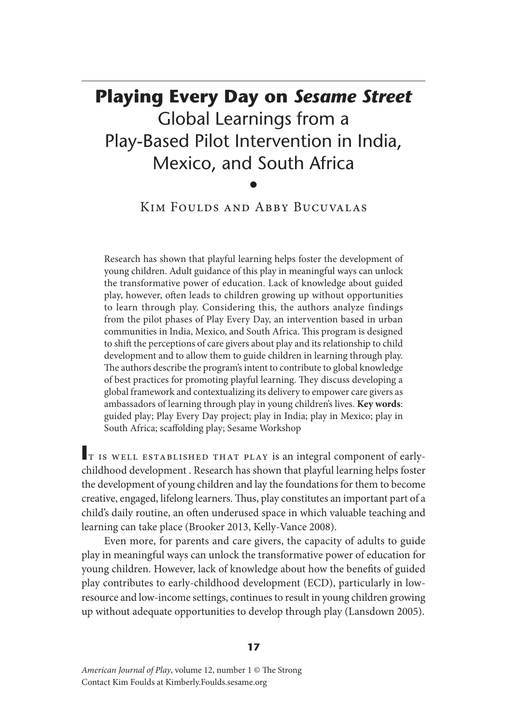# **Playing Every Day on** *Sesame Street* Global Learnings from a Play-Based Pilot Intervention in India, Mexico, and South Africa

•

# Kim Foulds and Abby Bucuvalas

Research has shown that playful learning helps foster the development of young children. Adult guidance of this play in meaningful ways can unlock the transformative power of education. Lack of knowledge about guided play, however, often leads to children growing up without opportunities to learn through play. Considering this, the authors analyze findings from the pilot phases of Play Every Day, an intervention based in urban communities in India, Mexico, and South Africa. This program is designed to shift the perceptions of care givers about play and its relationship to child development and to allow them to guide children in learning through play. The authors describe the program's intent to contribute to global knowledge of best practices for promoting playful learning. They discuss developing a global framework and contextualizing its delivery to empower care givers as ambassadors of learning through play in young children's lives. **Key words**: guided play; Play Every Day project; play in India; play in Mexico; play in South Africa; scaffolding play; Sesame Workshop

**I**t is well established that play is an integral component of earlychildhood development . Research has shown that playful learning helps foster the development of young children and lay the foundations for them to become creative, engaged, lifelong learners. Thus, play constitutes an important part of a child's daily routine, an often underused space in which valuable teaching and learning can take place (Brooker 2013, Kelly-Vance 2008).

Even more, for parents and care givers, the capacity of adults to guide play in meaningful ways can unlock the transformative power of education for young children. However, lack of knowledge about how the benefits of guided play contributes to early-childhood development (ECD), particularly in lowresource and low-income settings, continues to result in young children growing up without adequate opportunities to develop through play (Lansdown 2005).

*American Journal of Play*, volume 12, number 1 © The Strong Contact Kim Foulds at Kimberly.Foulds.sesame.org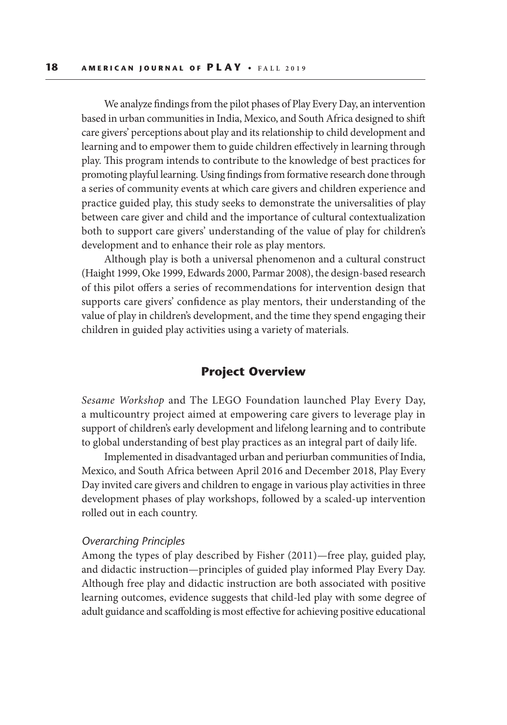We analyze findings from the pilot phases of Play Every Day, an intervention based in urban communities in India, Mexico, and South Africa designed to shift care givers' perceptions about play and its relationship to child development and learning and to empower them to guide children effectively in learning through play. This program intends to contribute to the knowledge of best practices for promoting playful learning. Using findings from formative research done through a series of community events at which care givers and children experience and practice guided play, this study seeks to demonstrate the universalities of play between care giver and child and the importance of cultural contextualization both to support care givers' understanding of the value of play for children's development and to enhance their role as play mentors.

Although play is both a universal phenomenon and a cultural construct (Haight 1999, Oke 1999, Edwards 2000, Parmar 2008), the design-based research of this pilot offers a series of recommendations for intervention design that supports care givers' confidence as play mentors, their understanding of the value of play in children's development, and the time they spend engaging their children in guided play activities using a variety of materials.

## **Project Overview**

*Sesame Workshop* and The LEGO Foundation launched Play Every Day, a multicountry project aimed at empowering care givers to leverage play in support of children's early development and lifelong learning and to contribute to global understanding of best play practices as an integral part of daily life.

Implemented in disadvantaged urban and periurban communities of India, Mexico, and South Africa between April 2016 and December 2018, Play Every Day invited care givers and children to engage in various play activities in three development phases of play workshops, followed by a scaled-up intervention rolled out in each country.

#### *Overarching Principles*

Among the types of play described by Fisher (2011)—free play, guided play, and didactic instruction—principles of guided play informed Play Every Day. Although free play and didactic instruction are both associated with positive learning outcomes, evidence suggests that child-led play with some degree of adult guidance and scaffolding is most effective for achieving positive educational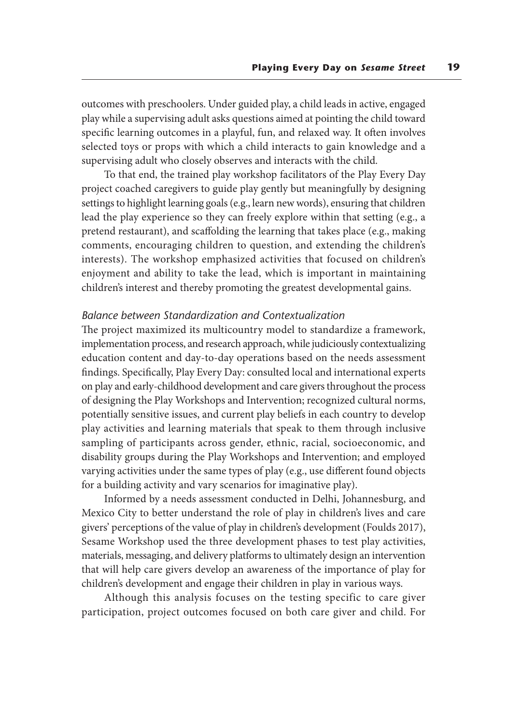outcomes with preschoolers. Under guided play, a child leads in active, engaged play while a supervising adult asks questions aimed at pointing the child toward specific learning outcomes in a playful, fun, and relaxed way. It often involves selected toys or props with which a child interacts to gain knowledge and a supervising adult who closely observes and interacts with the child.

To that end, the trained play workshop facilitators of the Play Every Day project coached caregivers to guide play gently but meaningfully by designing settings to highlight learning goals (e.g., learn new words), ensuring that children lead the play experience so they can freely explore within that setting (e.g., a pretend restaurant), and scaffolding the learning that takes place (e.g., making comments, encouraging children to question, and extending the children's interests). The workshop emphasized activities that focused on children's enjoyment and ability to take the lead, which is important in maintaining children's interest and thereby promoting the greatest developmental gains.

#### *Balance between Standardization and Contextualization*

The project maximized its multicountry model to standardize a framework, implementation process, and research approach, while judiciously contextualizing education content and day-to-day operations based on the needs assessment findings. Specifically, Play Every Day: consulted local and international experts on play and early-childhood development and care givers throughout the process of designing the Play Workshops and Intervention; recognized cultural norms, potentially sensitive issues, and current play beliefs in each country to develop play activities and learning materials that speak to them through inclusive sampling of participants across gender, ethnic, racial, socioeconomic, and disability groups during the Play Workshops and Intervention; and employed varying activities under the same types of play (e.g., use different found objects for a building activity and vary scenarios for imaginative play).

Informed by a needs assessment conducted in Delhi, Johannesburg, and Mexico City to better understand the role of play in children's lives and care givers' perceptions of the value of play in children's development (Foulds 2017), Sesame Workshop used the three development phases to test play activities, materials, messaging, and delivery platforms to ultimately design an intervention that will help care givers develop an awareness of the importance of play for children's development and engage their children in play in various ways.

Although this analysis focuses on the testing specific to care giver participation, project outcomes focused on both care giver and child. For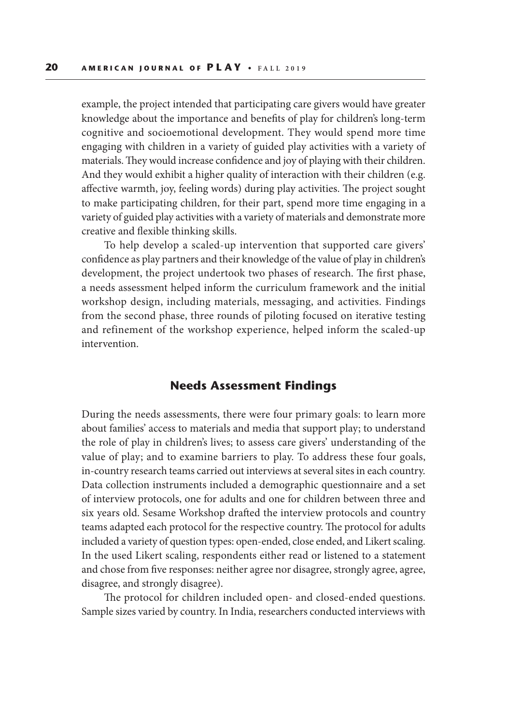example, the project intended that participating care givers would have greater knowledge about the importance and benefits of play for children's long-term cognitive and socioemotional development. They would spend more time engaging with children in a variety of guided play activities with a variety of materials. They would increase confidence and joy of playing with their children. And they would exhibit a higher quality of interaction with their children (e.g. affective warmth, joy, feeling words) during play activities. The project sought to make participating children, for their part, spend more time engaging in a variety of guided play activities with a variety of materials and demonstrate more creative and flexible thinking skills.

To help develop a scaled-up intervention that supported care givers' confidence as play partners and their knowledge of the value of play in children's development, the project undertook two phases of research. The first phase, a needs assessment helped inform the curriculum framework and the initial workshop design, including materials, messaging, and activities. Findings from the second phase, three rounds of piloting focused on iterative testing and refinement of the workshop experience, helped inform the scaled-up intervention.

## **Needs Assessment Findings**

During the needs assessments, there were four primary goals: to learn more about families' access to materials and media that support play; to understand the role of play in children's lives; to assess care givers' understanding of the value of play; and to examine barriers to play. To address these four goals, in-country research teams carried out interviews at several sites in each country. Data collection instruments included a demographic questionnaire and a set of interview protocols, one for adults and one for children between three and six years old. Sesame Workshop drafted the interview protocols and country teams adapted each protocol for the respective country. The protocol for adults included a variety of question types: open-ended, close ended, and Likert scaling. In the used Likert scaling, respondents either read or listened to a statement and chose from five responses: neither agree nor disagree, strongly agree, agree, disagree, and strongly disagree).

The protocol for children included open- and closed-ended questions. Sample sizes varied by country. In India, researchers conducted interviews with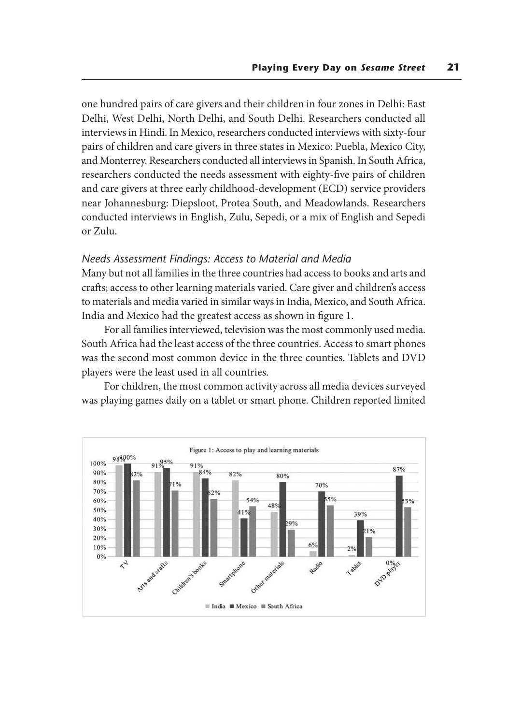one hundred pairs of care givers and their children in four zones in Delhi: East Delhi, West Delhi, North Delhi, and South Delhi. Researchers conducted all interviews in Hindi. In Mexico, researchers conducted interviews with sixty-four pairs of children and care givers in three states in Mexico: Puebla, Mexico City, and Monterrey. Researchers conducted all interviews in Spanish. In South Africa, researchers conducted the needs assessment with eighty-five pairs of children and care givers at three early childhood-development (ECD) service providers near Johannesburg: Diepsloot, Protea South, and Meadowlands. Researchers conducted interviews in English, Zulu, Sepedi, or a mix of English and Sepedi or Zulu.

#### *Needs Assessment Findings: Access to Material and Media*

Many but not all families in the three countries had access to books and arts and crafts; access to other learning materials varied. Care giver and children's access to materials and media varied in similar ways in India, Mexico, and South Africa. India and Mexico had the greatest access as shown in figure 1.

For all families interviewed, television was the most commonly used media. South Africa had the least access of the three countries. Access to smart phones was the second most common device in the three counties. Tablets and DVD players were the least used in all countries.

For children, the most common activity across all media devices surveyed was playing games daily on a tablet or smart phone. Children reported limited

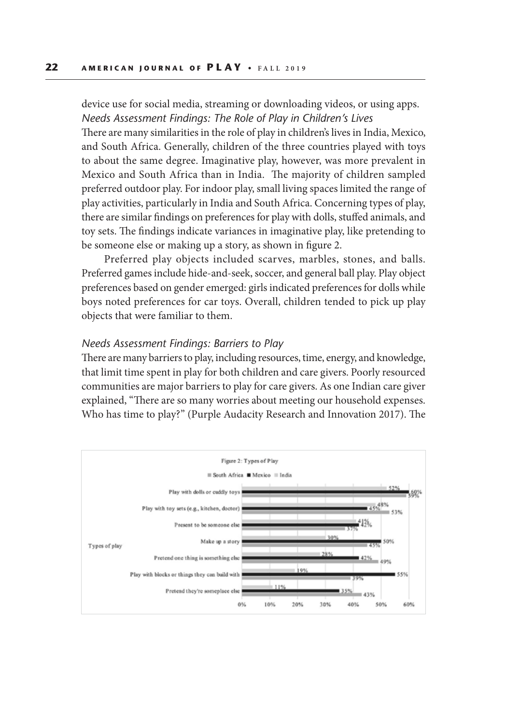device use for social media, streaming or downloading videos, or using apps. *Needs Assessment Findings: The Role of Play in Children's Lives*

There are many similarities in the role of play in children's lives in India, Mexico, and South Africa. Generally, children of the three countries played with toys to about the same degree. Imaginative play, however, was more prevalent in Mexico and South Africa than in India. The majority of children sampled preferred outdoor play. For indoor play, small living spaces limited the range of play activities, particularly in India and South Africa. Concerning types of play, there are similar findings on preferences for play with dolls, stuffed animals, and toy sets. The findings indicate variances in imaginative play, like pretending to be someone else or making up a story, as shown in figure 2.

Preferred play objects included scarves, marbles, stones, and balls. Preferred games include hide-and-seek, soccer, and general ball play. Play object preferences based on gender emerged: girls indicated preferences for dolls while boys noted preferences for car toys. Overall, children tended to pick up play objects that were familiar to them.

#### *Needs Assessment Findings: Barriers to Play*

There are many barriers to play, including resources, time, energy, and knowledge, that limit time spent in play for both children and care givers. Poorly resourced communities are major barriers to play for care givers. As one Indian care giver explained, "There are so many worries about meeting our household expenses. Who has time to play?" (Purple Audacity Research and Innovation 2017). The

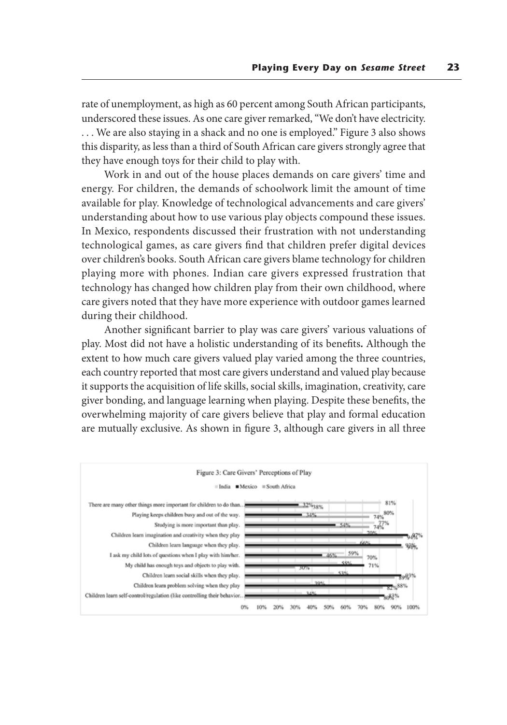rate of unemployment, as high as 60 percent among South African participants, underscored these issues. As one care giver remarked, "We don't have electricity. . . . We are also staying in a shack and no one is employed." Figure 3 also shows this disparity, as less than a third of South African care givers strongly agree that they have enough toys for their child to play with.

Work in and out of the house places demands on care givers' time and energy. For children, the demands of schoolwork limit the amount of time available for play. Knowledge of technological advancements and care givers' understanding about how to use various play objects compound these issues. In Mexico, respondents discussed their frustration with not understanding technological games, as care givers find that children prefer digital devices over children's books. South African care givers blame technology for children playing more with phones. Indian care givers expressed frustration that technology has changed how children play from their own childhood, where care givers noted that they have more experience with outdoor games learned during their childhood.

Another significant barrier to play was care givers' various valuations of play. Most did not have a holistic understanding of its benefits**.** Although the extent to how much care givers valued play varied among the three countries, each country reported that most care givers understand and valued play because it supports the acquisition of life skills, social skills, imagination, creativity, care giver bonding, and language learning when playing. Despite these benefits, the overwhelming majority of care givers believe that play and formal education are mutually exclusive. As shown in figure 3, although care givers in all three

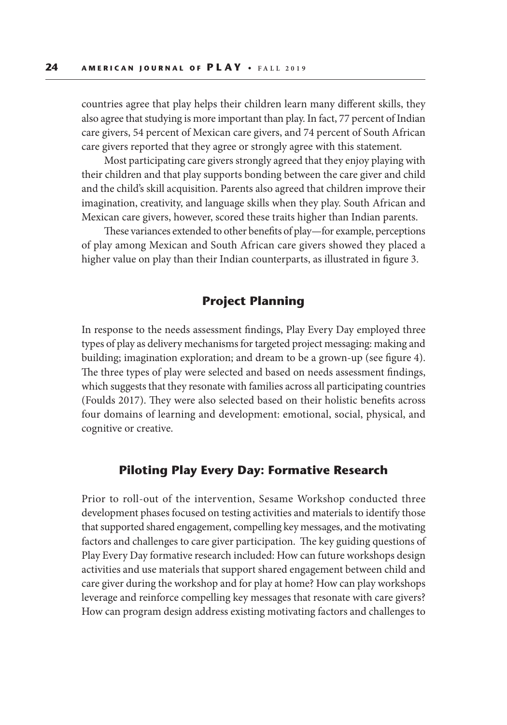countries agree that play helps their children learn many different skills, they also agree that studying is more important than play. In fact, 77 percent of Indian care givers, 54 percent of Mexican care givers, and 74 percent of South African care givers reported that they agree or strongly agree with this statement.

Most participating care givers strongly agreed that they enjoy playing with their children and that play supports bonding between the care giver and child and the child's skill acquisition. Parents also agreed that children improve their imagination, creativity, and language skills when they play. South African and Mexican care givers, however, scored these traits higher than Indian parents.

These variances extended to other benefits of play—for example, perceptions of play among Mexican and South African care givers showed they placed a higher value on play than their Indian counterparts, as illustrated in figure 3.

## **Project Planning**

In response to the needs assessment findings, Play Every Day employed three types of play as delivery mechanisms for targeted project messaging: making and building; imagination exploration; and dream to be a grown-up (see figure 4). The three types of play were selected and based on needs assessment findings, which suggests that they resonate with families across all participating countries (Foulds 2017). They were also selected based on their holistic benefits across four domains of learning and development: emotional, social, physical, and cognitive or creative.

## **Piloting Play Every Day: Formative Research**

Prior to roll-out of the intervention, Sesame Workshop conducted three development phases focused on testing activities and materials to identify those that supported shared engagement, compelling key messages, and the motivating factors and challenges to care giver participation. The key guiding questions of Play Every Day formative research included: How can future workshops design activities and use materials that support shared engagement between child and care giver during the workshop and for play at home? How can play workshops leverage and reinforce compelling key messages that resonate with care givers? How can program design address existing motivating factors and challenges to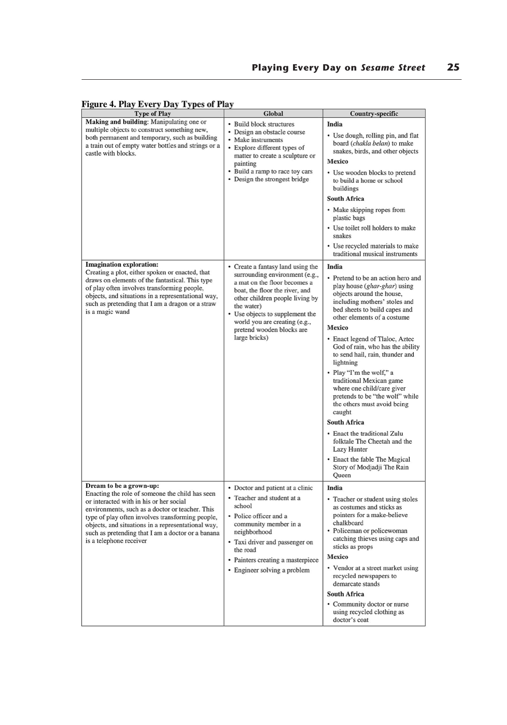### Figure 4. Play Every Day Types of Play

| <b>Type of Play</b>                                                                                                                                                                                                                                                                                                                                                | Global                                                                                                                                                                                                                                                                                                   | <b>Country-specific</b>                                                                                                                                                                                                                                                                                                                                                                                                                                                                                                                                                                                                                                                                    |
|--------------------------------------------------------------------------------------------------------------------------------------------------------------------------------------------------------------------------------------------------------------------------------------------------------------------------------------------------------------------|----------------------------------------------------------------------------------------------------------------------------------------------------------------------------------------------------------------------------------------------------------------------------------------------------------|--------------------------------------------------------------------------------------------------------------------------------------------------------------------------------------------------------------------------------------------------------------------------------------------------------------------------------------------------------------------------------------------------------------------------------------------------------------------------------------------------------------------------------------------------------------------------------------------------------------------------------------------------------------------------------------------|
| Making and building: Manipulating one or<br>multiple objects to construct something new,<br>both permanent and temporary, such as building<br>a train out of empty water bottles and strings or a<br>castle with blocks.                                                                                                                                           | • Build block structures<br>• Design an obstacle course<br>• Make instruments<br>• Explore different types of<br>matter to create a sculpture or<br>painting<br>• Build a ramp to race toy cars<br>• Design the strongest bridge                                                                         | India<br>• Use dough, rolling pin, and flat<br>board (chakla belan) to make<br>snakes, birds, and other objects<br>Mexico<br>• Use wooden blocks to pretend<br>to build a home or school<br>buildings<br><b>South Africa</b><br>• Make skipping ropes from<br>plastic bags<br>• Use toilet roll holders to make<br>snakes<br>• Use recycled materials to make<br>traditional musical instruments                                                                                                                                                                                                                                                                                           |
| <b>Imagination exploration:</b><br>Creating a plot, either spoken or enacted, that<br>draws on elements of the fantastical. This type<br>of play often involves transforming people,<br>objects, and situations in a representational way,<br>such as pretending that I am a dragon or a straw<br>is a magic wand                                                  | • Create a fantasy land using the<br>surrounding environment (e.g.,<br>a mat on the floor becomes a<br>boat, the floor the river, and<br>other children people living by<br>the water)<br>• Use objects to supplement the<br>world you are creating (e.g.,<br>pretend wooden blocks are<br>large bricks) | India<br>• Pretend to be an action hero and<br>play house (ghar-ghar) using<br>objects around the house,<br>including mothers' stoles and<br>bed sheets to build capes and<br>other elements of a costume<br>Mexico<br>• Enact legend of Tlaloc, Aztec<br>God of rain, who has the ability<br>to send hail, rain, thunder and<br>lightning<br>· Play "I'm the wolf," a<br>traditional Mexican game<br>where one child/care giver<br>pretends to be "the wolf" while<br>the others must avoid being<br>caught<br><b>South Africa</b><br>• Enact the traditional Zulu<br>folktale The Cheetah and the<br>Lazy Hunter<br>• Enact the fable The Magical<br>Story of Modjadji The Rain<br>Queen |
| Dream to be a grown-up:<br>Enacting the role of someone the child has seen<br>or interacted with in his or her social<br>environments, such as a doctor or teacher. This<br>type of play often involves transforming people,<br>objects, and situations in a representational way,<br>such as pretending that I am a doctor or a banana<br>is a telephone receiver | • Doctor and patient at a clinic<br>• Teacher and student at a<br>school<br>• Police officer and a<br>community member in a<br>neighborhood<br>• Taxi driver and passenger on<br>the road<br>• Painters creating a masterpiece<br>• Engineer solving a problem                                           | India<br>• Teacher or student using stoles<br>as costumes and sticks as<br>pointers for a make-believe<br>chalkboard<br>• Policeman or policewoman<br>catching thieves using caps and<br>sticks as props<br>Mexico<br>• Vendor at a street market using<br>recycled newspapers to<br>demarcate stands<br><b>South Africa</b><br>• Community doctor or nurse<br>using recycled clothing as<br>doctor's coat                                                                                                                                                                                                                                                                                 |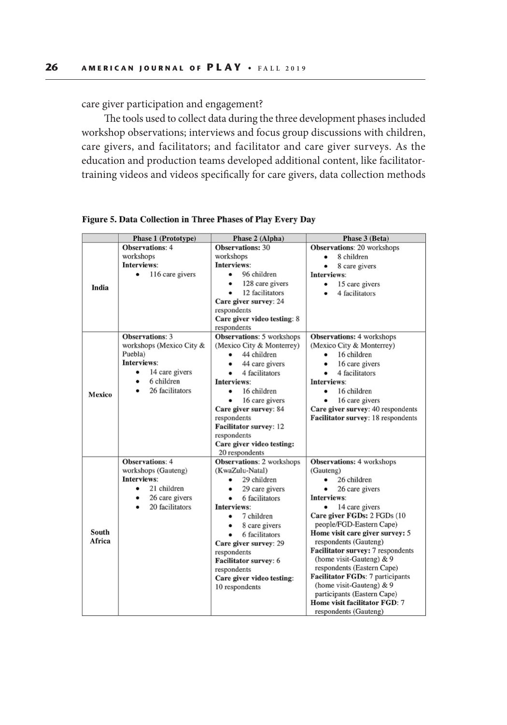care giver participation and engagement?

The tools used to collect data during the three development phases included workshop observations; interviews and focus group discussions with children, care givers, and facilitators; and facilitator and care giver surveys. As the education and production teams developed additional content, like facilitatortraining videos and videos specifically for care givers, data collection methods

|        | <b>Phase 1 (Prototype)</b>         | Phase 2 (Alpha)                          | Phase 3 (Beta)                                           |  |
|--------|------------------------------------|------------------------------------------|----------------------------------------------------------|--|
|        | <b>Observations: 4</b>             | <b>Observations: 30</b>                  | Observations: 20 workshops                               |  |
|        | workshops                          | workshops                                | 8 children<br>$\bullet$                                  |  |
|        | Interviews:                        | Interviews:                              | 8 care givers                                            |  |
|        | 116 care givers<br>$\bullet$       | 96 children<br>$\bullet$                 | Interviews:                                              |  |
| India  |                                    | 128 care givers<br>٠                     | 15 care givers<br>٠                                      |  |
|        |                                    | 12 facilitators<br>٠                     | 4 facilitators                                           |  |
|        |                                    | Care giver survey: 24                    |                                                          |  |
|        |                                    | respondents                              |                                                          |  |
|        |                                    | Care giver video testing: 8              |                                                          |  |
|        |                                    | respondents                              |                                                          |  |
|        | <b>Observations: 3</b>             | Observations: 5 workshops                | <b>Observations: 4 workshops</b>                         |  |
|        | workshops (Mexico City &           | (Mexico City & Monterrey)                | (Mexico City & Monterrey)                                |  |
| Mexico | Puebla)                            | 44 children<br>$\bullet$                 | 16 children<br>$\bullet$                                 |  |
|        | Interviews:                        | 44 care givers                           | 16 care givers                                           |  |
|        | 14 care givers<br>$\bullet$        | 4 facilitators<br>$\bullet$              | 4 facilitators<br>$\bullet$                              |  |
|        | 6 children<br>$\bullet$            | Interviews:                              | Interviews:                                              |  |
|        | 26 facilitators                    | 16 children<br>٠                         | 16 children                                              |  |
|        |                                    | 16 care givers                           | 16 care givers                                           |  |
|        |                                    | Care giver survey: 84                    | Care giver survey: 40 respondents                        |  |
|        |                                    | respondents                              | Facilitator survey: 18 respondents                       |  |
|        |                                    | <b>Facilitator survey: 12</b>            |                                                          |  |
|        |                                    | respondents                              |                                                          |  |
|        |                                    | Care giver video testing:                |                                                          |  |
|        |                                    | 20 respondents                           |                                                          |  |
|        | <b>Observations: 4</b>             | <b>Observations: 2 workshops</b>         | <b>Observations: 4 workshops</b>                         |  |
|        | workshops (Gauteng)<br>Interviews: | (KwaZulu-Natal)                          | (Gauteng)                                                |  |
|        |                                    | 29 children<br>$\bullet$                 | 26 children<br>$\bullet$                                 |  |
|        | 21 children<br>٠                   | 29 care givers<br>٠                      | 26 care givers<br>٠                                      |  |
|        | 26 care givers<br>٠                | 6 facilitators<br>$\bullet$              | Interviews:                                              |  |
|        | 20 facilitators<br>$\bullet$       | Interviews:                              | 14 care givers<br>$\bullet$                              |  |
|        |                                    | 7 children<br>٠                          | Care giver FGDs: 2 FGDs (10)<br>people/FGD-Eastern Cape) |  |
| South  |                                    | 8 care givers<br>٠                       | Home visit care giver survey: 5                          |  |
| Africa |                                    | 6 facilitators                           | respondents (Gauteng)                                    |  |
|        |                                    | Care giver survey: 29                    | Facilitator survey: 7 respondents                        |  |
|        |                                    | respondents                              | (home visit-Gauteng) $& 9$                               |  |
|        |                                    | Facilitator survey: 6                    | respondents (Eastern Cape)                               |  |
|        |                                    | respondents<br>Care giver video testing: | Facilitator FGDs: 7 participants                         |  |
|        |                                    | 10 respondents                           | (home visit-Gauteng) & 9                                 |  |
|        |                                    |                                          | participants (Eastern Cape)                              |  |
|        |                                    |                                          | Home visit facilitator FGD: 7                            |  |
|        |                                    |                                          | respondents (Gauteng)                                    |  |
|        |                                    |                                          |                                                          |  |

Figure 5. Data Collection in Three Phases of Play Every Day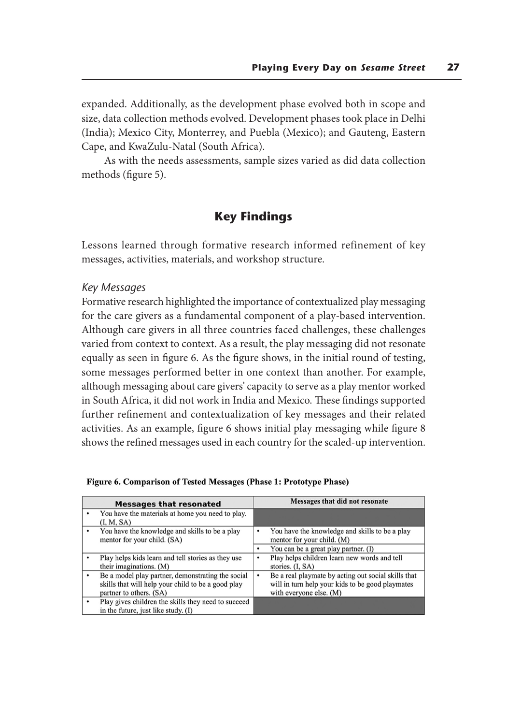expanded. Additionally, as the development phase evolved both in scope and size, data collection methods evolved. Development phases took place in Delhi (India); Mexico City, Monterrey, and Puebla (Mexico); and Gauteng, Eastern Cape, and KwaZulu-Natal (South Africa).

As with the needs assessments, sample sizes varied as did data collection methods (figure 5).

# **Key Findings**

Lessons learned through formative research informed refinement of key messages, activities, materials, and workshop structure.

#### *Key Messages*

Formative research highlighted the importance of contextualized play messaging for the care givers as a fundamental component of a play-based intervention. Although care givers in all three countries faced challenges, these challenges varied from context to context. As a result, the play messaging did not resonate equally as seen in figure 6. As the figure shows, in the initial round of testing, some messages performed better in one context than another. For example, although messaging about care givers' capacity to serve as a play mentor worked in South Africa, it did not work in India and Mexico. These findings supported further refinement and contextualization of key messages and their related activities. As an example, figure 6 shows initial play messaging while figure 8 shows the refined messages used in each country for the scaled-up intervention.

|   | <b>Messages that resonated</b>                                                                                                     |   | Messages that did not resonate                                                                                                     |
|---|------------------------------------------------------------------------------------------------------------------------------------|---|------------------------------------------------------------------------------------------------------------------------------------|
|   | You have the materials at home you need to play.<br>(I, M, SA)                                                                     |   |                                                                                                                                    |
|   | You have the knowledge and skills to be a play<br>mentor for your child. (SA)                                                      | ٠ | You have the knowledge and skills to be a play<br>mentor for your child. (M)                                                       |
|   |                                                                                                                                    | ٠ | You can be a great play partner. (I)                                                                                               |
|   | Play helps kids learn and tell stories as they use<br>their imaginations. (M)                                                      | ٠ | Play helps children learn new words and tell<br>stories. (I, SA)                                                                   |
| ٠ | Be a model play partner, demonstrating the social<br>skills that will help your child to be a good play<br>partner to others. (SA) | ٠ | Be a real playmate by acting out social skills that<br>will in turn help your kids to be good playmates<br>with everyone else. (M) |
| ٠ | Play gives children the skills they need to succeed<br>in the future, just like study. $(I)$                                       |   |                                                                                                                                    |

| Figure 6. Comparison of Tested Messages (Phase 1: Prototype Phase) |  |  |  |  |  |
|--------------------------------------------------------------------|--|--|--|--|--|
|--------------------------------------------------------------------|--|--|--|--|--|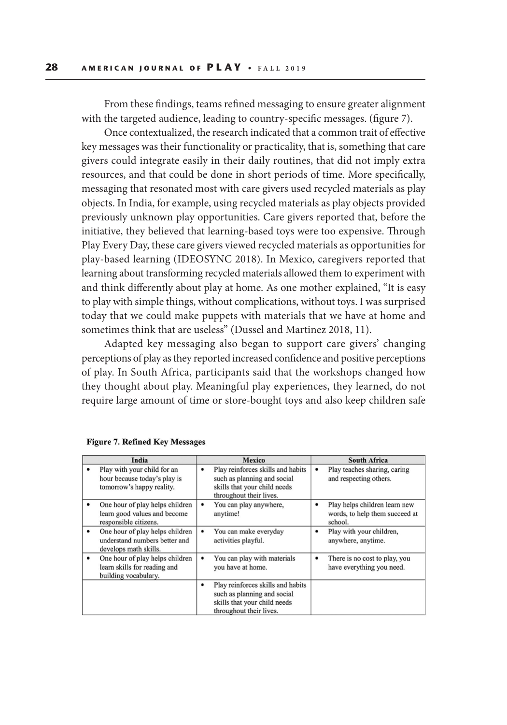From these findings, teams refined messaging to ensure greater alignment with the targeted audience, leading to country-specific messages. (figure 7).

Once contextualized, the research indicated that a common trait of effective key messages was their functionality or practicality, that is, something that care givers could integrate easily in their daily routines, that did not imply extra resources, and that could be done in short periods of time. More specifically, messaging that resonated most with care givers used recycled materials as play objects. In India, for example, using recycled materials as play objects provided previously unknown play opportunities. Care givers reported that, before the initiative, they believed that learning-based toys were too expensive. Through Play Every Day, these care givers viewed recycled materials as opportunities for play-based learning (IDEOSYNC 2018). In Mexico, caregivers reported that learning about transforming recycled materials allowed them to experiment with and think differently about play at home. As one mother explained, "It is easy to play with simple things, without complications, without toys. I was surprised today that we could make puppets with materials that we have at home and sometimes think that are useless" (Dussel and Martinez 2018, 11).

Adapted key messaging also began to support care givers' changing perceptions of play as they reported increased confidence and positive perceptions of play. In South Africa, participants said that the workshops changed how they thought about play. Meaningful play experiences, they learned, do not require large amount of time or store-bought toys and also keep children safe

| India |                                                                                                        | <b>Mexico</b>                                                                                                                    | <b>South Africa</b>                                                             |  |  |
|-------|--------------------------------------------------------------------------------------------------------|----------------------------------------------------------------------------------------------------------------------------------|---------------------------------------------------------------------------------|--|--|
|       | Play with your child for an<br>hour because today's play is<br>tomorrow's happy reality.               | Play reinforces skills and habits<br>٠<br>such as planning and social<br>skills that your child needs<br>throughout their lives. | Play teaches sharing, caring<br>٠<br>and respecting others.                     |  |  |
|       | One hour of play helps children<br>learn good values and become<br>responsible citizens.               | You can play anywhere,<br>٠<br>anytime!                                                                                          | Play helps children learn new<br>٠<br>words, to help them succeed at<br>school. |  |  |
|       | One hour of play helps children<br>$\bullet$<br>understand numbers better and<br>develops math skills. | You can make everyday<br>٠<br>activities playful.                                                                                | Play with your children,<br>٠<br>anywhere, anytime.                             |  |  |
|       | One hour of play helps children<br>٠<br>learn skills for reading and<br>building vocabulary.           | You can play with materials<br>٠<br>you have at home.                                                                            | There is no cost to play, you<br>٠<br>have everything you need.                 |  |  |
|       |                                                                                                        | Play reinforces skills and habits<br>٠<br>such as planning and social<br>skills that your child needs<br>throughout their lives. |                                                                                 |  |  |

#### **Figure 7. Refined Key Messages**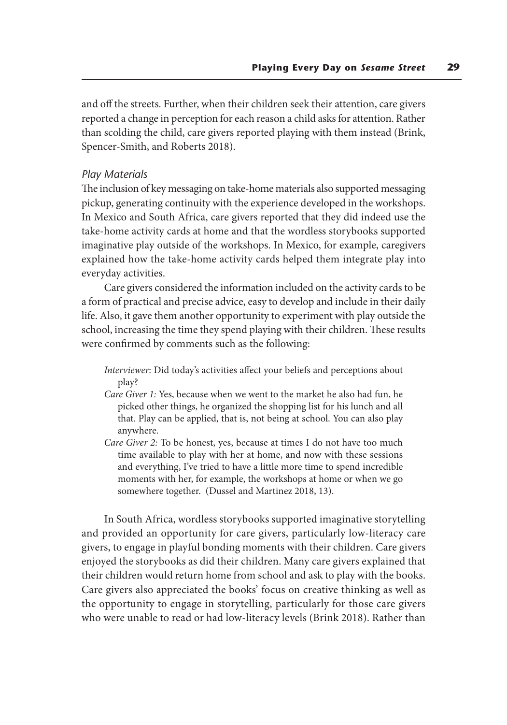and off the streets. Further, when their children seek their attention, care givers reported a change in perception for each reason a child asks for attention. Rather than scolding the child, care givers reported playing with them instead (Brink, Spencer-Smith, and Roberts 2018).

#### *Play Materials*

The inclusion of key messaging on take-home materials also supported messaging pickup, generating continuity with the experience developed in the workshops. In Mexico and South Africa, care givers reported that they did indeed use the take-home activity cards at home and that the wordless storybooks supported imaginative play outside of the workshops. In Mexico, for example, caregivers explained how the take-home activity cards helped them integrate play into everyday activities.

Care givers considered the information included on the activity cards to be a form of practical and precise advice, easy to develop and include in their daily life. Also, it gave them another opportunity to experiment with play outside the school, increasing the time they spend playing with their children. These results were confirmed by comments such as the following:

- *Interviewer*: Did today's activities affect your beliefs and perceptions about play?
- *Care Giver 1:* Yes, because when we went to the market he also had fun, he picked other things, he organized the shopping list for his lunch and all that. Play can be applied, that is, not being at school. You can also play anywhere.
- *Care Giver 2:* To be honest, yes, because at times I do not have too much time available to play with her at home, and now with these sessions and everything, I've tried to have a little more time to spend incredible moments with her, for example, the workshops at home or when we go somewhere together. (Dussel and Martinez 2018, 13).

In South Africa, wordless storybooks supported imaginative storytelling and provided an opportunity for care givers, particularly low-literacy care givers, to engage in playful bonding moments with their children. Care givers enjoyed the storybooks as did their children. Many care givers explained that their children would return home from school and ask to play with the books. Care givers also appreciated the books' focus on creative thinking as well as the opportunity to engage in storytelling, particularly for those care givers who were unable to read or had low-literacy levels (Brink 2018). Rather than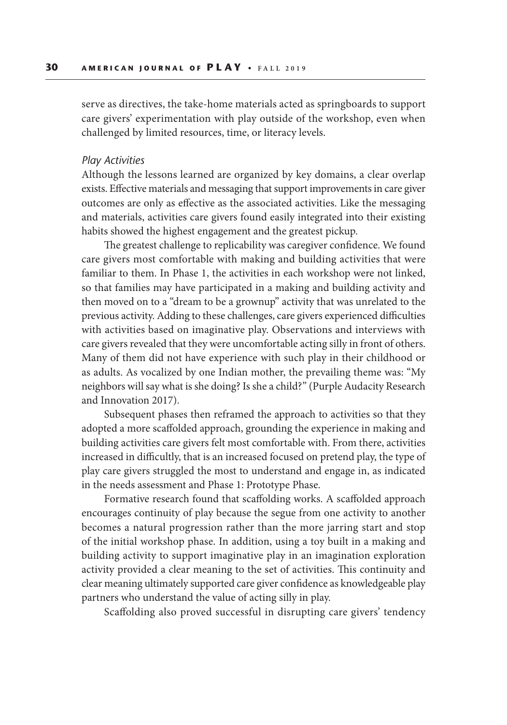serve as directives, the take-home materials acted as springboards to support care givers' experimentation with play outside of the workshop, even when challenged by limited resources, time, or literacy levels.

#### *Play Activities*

Although the lessons learned are organized by key domains, a clear overlap exists. Effective materials and messaging that support improvements in care giver outcomes are only as effective as the associated activities. Like the messaging and materials, activities care givers found easily integrated into their existing habits showed the highest engagement and the greatest pickup.

The greatest challenge to replicability was caregiver confidence. We found care givers most comfortable with making and building activities that were familiar to them. In Phase 1, the activities in each workshop were not linked, so that families may have participated in a making and building activity and then moved on to a "dream to be a grownup" activity that was unrelated to the previous activity. Adding to these challenges, care givers experienced difficulties with activities based on imaginative play. Observations and interviews with care givers revealed that they were uncomfortable acting silly in front of others. Many of them did not have experience with such play in their childhood or as adults. As vocalized by one Indian mother, the prevailing theme was: "My neighbors will say what is she doing? Is she a child?" (Purple Audacity Research and Innovation 2017).

Subsequent phases then reframed the approach to activities so that they adopted a more scaffolded approach, grounding the experience in making and building activities care givers felt most comfortable with. From there, activities increased in difficultly, that is an increased focused on pretend play, the type of play care givers struggled the most to understand and engage in, as indicated in the needs assessment and Phase 1: Prototype Phase.

Formative research found that scaffolding works. A scaffolded approach encourages continuity of play because the segue from one activity to another becomes a natural progression rather than the more jarring start and stop of the initial workshop phase. In addition, using a toy built in a making and building activity to support imaginative play in an imagination exploration activity provided a clear meaning to the set of activities. This continuity and clear meaning ultimately supported care giver confidence as knowledgeable play partners who understand the value of acting silly in play.

Scaffolding also proved successful in disrupting care givers' tendency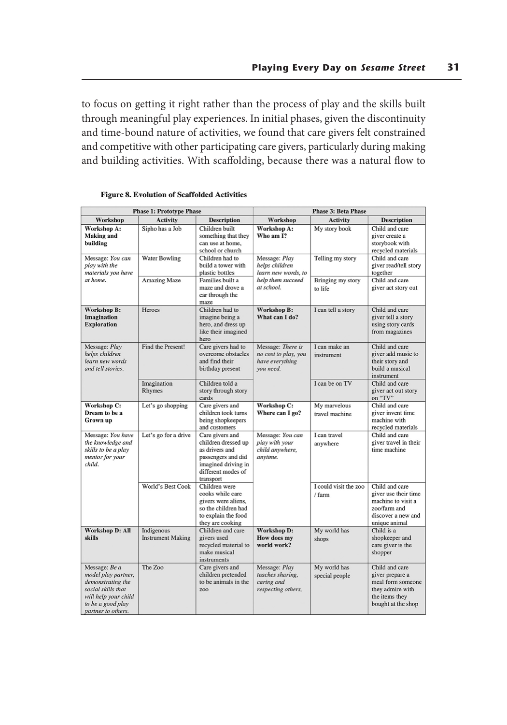to focus on getting it right rather than the process of play and the skills built through meaningful play experiences. In initial phases, given the discontinuity and time-bound nature of activities, we found that care givers felt constrained and competitive with other participating care givers, particularly during making and building activities. With scaffolding, because there was a natural flow to

| <b>Phase 1: Prototype Phase</b>                                                                                                                    |                                        | <b>Phase 3: Beta Phase</b>                                                                                                               |                                                                           |                                 |                                                                                                                     |
|----------------------------------------------------------------------------------------------------------------------------------------------------|----------------------------------------|------------------------------------------------------------------------------------------------------------------------------------------|---------------------------------------------------------------------------|---------------------------------|---------------------------------------------------------------------------------------------------------------------|
| Workshop                                                                                                                                           | Activity                               | <b>Description</b>                                                                                                                       | Workshop                                                                  | <b>Activity</b>                 | <b>Description</b>                                                                                                  |
| Workshop A:<br><b>Making and</b><br>building                                                                                                       | Sipho has a Job                        | Children built<br>something that they<br>can use at home.<br>school or church                                                            | Workshop A:<br>Who am I?                                                  | My story book                   | Child and care<br>giver create a<br>storybook with<br>recycled materials                                            |
| Message: You can<br>play with the<br>materials you have                                                                                            | <b>Water Bowling</b>                   | Children had to<br>build a tower with<br>plastic bottles                                                                                 | Message: Play<br>helps children<br>learn new words, to                    | Telling my story                | Child and care<br>giver read/tell story<br>together                                                                 |
| at home.                                                                                                                                           | <b>Amazing Maze</b>                    | Families built a<br>maze and drove a<br>car through the<br>maze                                                                          | help them succeed<br>at school.                                           | Bringing my story<br>to life    | Child and care<br>giver act story out                                                                               |
| Workshop B:<br>Imagination<br><b>Exploration</b>                                                                                                   | Heroes                                 | Children had to<br>imagine being a<br>hero, and dress up<br>like their imagined<br>hero                                                  | Workshop B:<br>What can I do?                                             | I can tell a story              | Child and care<br>giver tell a story<br>using story cards<br>from magazines                                         |
| Message: Play<br>helps children<br>learn new words<br>and tell stories.                                                                            | Find the Present!                      | Care givers had to<br>overcome obstacles<br>and find their<br>birthday present                                                           | Message: There is<br>no cost to play, you<br>have everything<br>you need. | I can make an<br>instrument     | Child and care<br>giver add music to<br>their story and<br>build a musical<br>instrument                            |
|                                                                                                                                                    | Imagination<br>Rhymes                  | Children told a<br>story through story<br>cards                                                                                          |                                                                           | I can be on TV                  | Child and care<br>giver act out story<br>on "TV"                                                                    |
| Workshop C:<br>Dream to be a<br>Grown up                                                                                                           | Let's go shopping                      | Care givers and<br>children took turns<br>being shopkeepers<br>and customers                                                             | Workshop C:<br>Where can I go?                                            | My marvelous<br>travel machine  | Child and care<br>giver invent time<br>machine with<br>recycled materials                                           |
| Message: You have<br>the knowledge and<br>skills to be a play<br>mentor for your<br>child.                                                         | Let's go for a drive                   | Care givers and<br>children dressed up<br>as drivers and<br>passengers and did<br>imagined driving in<br>different modes of<br>transport | Message: You can<br>play with your<br>child anywhere,<br>anytime.         | I can travel<br>anywhere        | Child and care<br>giver travel in their<br>time machine                                                             |
|                                                                                                                                                    | World's Best Cook                      | Children were<br>cooks while care<br>givers were aliens.<br>so the children had<br>to explain the food<br>they are cooking               |                                                                           | I could visit the zoo<br>/ farm | Child and care<br>giver use their time<br>machine to visit a<br>zoo/farm and<br>discover a new and<br>unique animal |
| <b>Workshop D: All</b><br>skills                                                                                                                   | Indigenous<br><b>Instrument Making</b> | Children and care<br>givers used<br>recycled material to<br>make musical<br>instruments                                                  | <b>Workshop D:</b><br>How does my<br>world work?                          | My world has<br>shops           | Child is a<br>shopkeeper and<br>care giver is the<br>shopper                                                        |
| Message: Be a<br>model play partner,<br>demonstrating the<br>social skills that<br>will help your child<br>to be a good play<br>partner to others. | The Zoo                                | Care givers and<br>children pretended<br>to be animals in the<br>zoo                                                                     | Message: Play<br>teaches sharing,<br>caring and<br>respecting others,     | My world has<br>special people  | Child and care<br>giver prepare a<br>meal form someone<br>they admire with<br>the items they<br>bought at the shop  |

#### **Figure 8. Evolution of Scaffolded Activities**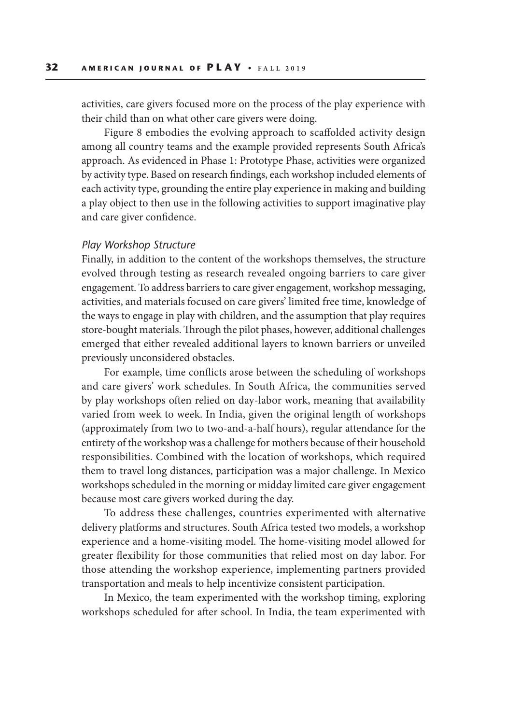activities, care givers focused more on the process of the play experience with their child than on what other care givers were doing.

Figure 8 embodies the evolving approach to scaffolded activity design among all country teams and the example provided represents South Africa's approach. As evidenced in Phase 1: Prototype Phase, activities were organized by activity type. Based on research findings, each workshop included elements of each activity type, grounding the entire play experience in making and building a play object to then use in the following activities to support imaginative play and care giver confidence.

#### *Play Workshop Structure*

Finally, in addition to the content of the workshops themselves, the structure evolved through testing as research revealed ongoing barriers to care giver engagement. To address barriers to care giver engagement, workshop messaging, activities, and materials focused on care givers' limited free time, knowledge of the ways to engage in play with children, and the assumption that play requires store-bought materials. Through the pilot phases, however, additional challenges emerged that either revealed additional layers to known barriers or unveiled previously unconsidered obstacles.

For example, time conflicts arose between the scheduling of workshops and care givers' work schedules. In South Africa, the communities served by play workshops often relied on day-labor work, meaning that availability varied from week to week. In India, given the original length of workshops (approximately from two to two-and-a-half hours), regular attendance for the entirety of the workshop was a challenge for mothers because of their household responsibilities. Combined with the location of workshops, which required them to travel long distances, participation was a major challenge. In Mexico workshops scheduled in the morning or midday limited care giver engagement because most care givers worked during the day.

To address these challenges, countries experimented with alternative delivery platforms and structures. South Africa tested two models, a workshop experience and a home-visiting model. The home-visiting model allowed for greater flexibility for those communities that relied most on day labor. For those attending the workshop experience, implementing partners provided transportation and meals to help incentivize consistent participation.

In Mexico, the team experimented with the workshop timing, exploring workshops scheduled for after school. In India, the team experimented with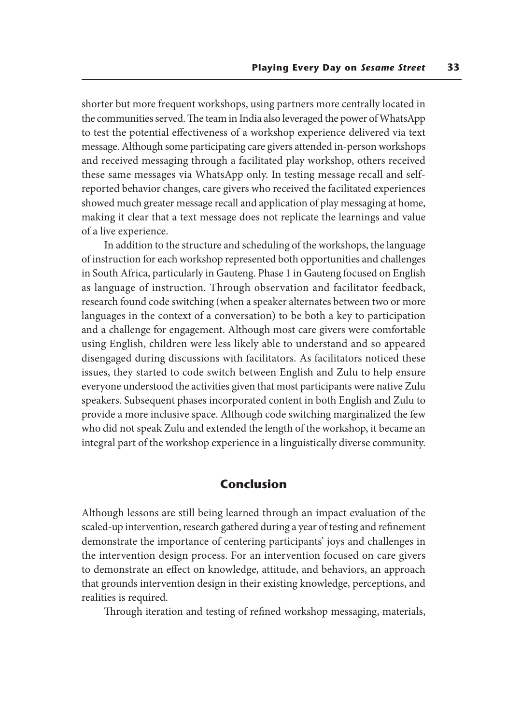shorter but more frequent workshops, using partners more centrally located in the communities served. The team in India also leveraged the power of WhatsApp to test the potential effectiveness of a workshop experience delivered via text message. Although some participating care givers attended in-person workshops and received messaging through a facilitated play workshop, others received these same messages via WhatsApp only. In testing message recall and selfreported behavior changes, care givers who received the facilitated experiences showed much greater message recall and application of play messaging at home, making it clear that a text message does not replicate the learnings and value of a live experience.

In addition to the structure and scheduling of the workshops, the language of instruction for each workshop represented both opportunities and challenges in South Africa, particularly in Gauteng. Phase 1 in Gauteng focused on English as language of instruction. Through observation and facilitator feedback, research found code switching (when a speaker alternates between two or more languages in the context of a conversation) to be both a key to participation and a challenge for engagement. Although most care givers were comfortable using English, children were less likely able to understand and so appeared disengaged during discussions with facilitators. As facilitators noticed these issues, they started to code switch between English and Zulu to help ensure everyone understood the activities given that most participants were native Zulu speakers. Subsequent phases incorporated content in both English and Zulu to provide a more inclusive space. Although code switching marginalized the few who did not speak Zulu and extended the length of the workshop, it became an integral part of the workshop experience in a linguistically diverse community.

## **Conclusion**

Although lessons are still being learned through an impact evaluation of the scaled-up intervention, research gathered during a year of testing and refinement demonstrate the importance of centering participants' joys and challenges in the intervention design process. For an intervention focused on care givers to demonstrate an effect on knowledge, attitude, and behaviors, an approach that grounds intervention design in their existing knowledge, perceptions, and realities is required.

Through iteration and testing of refined workshop messaging, materials,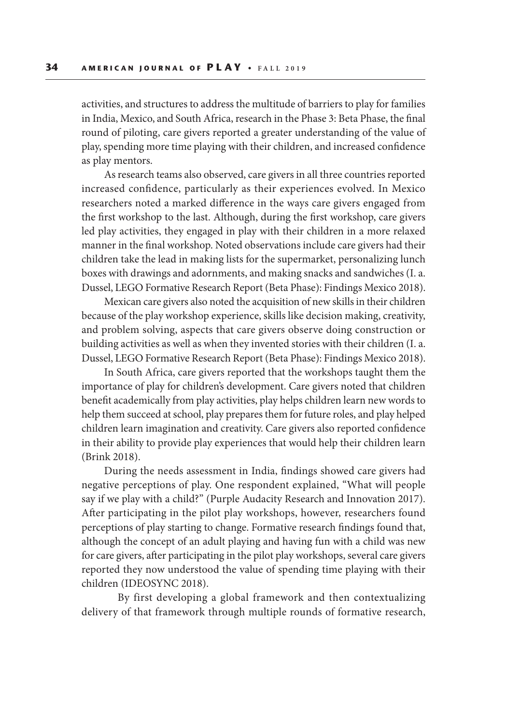activities, and structures to address the multitude of barriers to play for families in India, Mexico, and South Africa, research in the Phase 3: Beta Phase, the final round of piloting, care givers reported a greater understanding of the value of play, spending more time playing with their children, and increased confidence as play mentors.

As research teams also observed, care givers in all three countries reported increased confidence, particularly as their experiences evolved. In Mexico researchers noted a marked difference in the ways care givers engaged from the first workshop to the last. Although, during the first workshop, care givers led play activities, they engaged in play with their children in a more relaxed manner in the final workshop. Noted observations include care givers had their children take the lead in making lists for the supermarket, personalizing lunch boxes with drawings and adornments, and making snacks and sandwiches (I. a. Dussel, LEGO Formative Research Report (Beta Phase): Findings Mexico 2018).

Mexican care givers also noted the acquisition of new skills in their children because of the play workshop experience, skills like decision making, creativity, and problem solving, aspects that care givers observe doing construction or building activities as well as when they invented stories with their children (I. a. Dussel, LEGO Formative Research Report (Beta Phase): Findings Mexico 2018).

In South Africa, care givers reported that the workshops taught them the importance of play for children's development. Care givers noted that children benefit academically from play activities, play helps children learn new words to help them succeed at school, play prepares them for future roles, and play helped children learn imagination and creativity. Care givers also reported confidence in their ability to provide play experiences that would help their children learn (Brink 2018).

During the needs assessment in India, findings showed care givers had negative perceptions of play. One respondent explained, "What will people say if we play with a child?" (Purple Audacity Research and Innovation 2017). After participating in the pilot play workshops, however, researchers found perceptions of play starting to change. Formative research findings found that, although the concept of an adult playing and having fun with a child was new for care givers, after participating in the pilot play workshops, several care givers reported they now understood the value of spending time playing with their children (IDEOSYNC 2018).

By first developing a global framework and then contextualizing delivery of that framework through multiple rounds of formative research,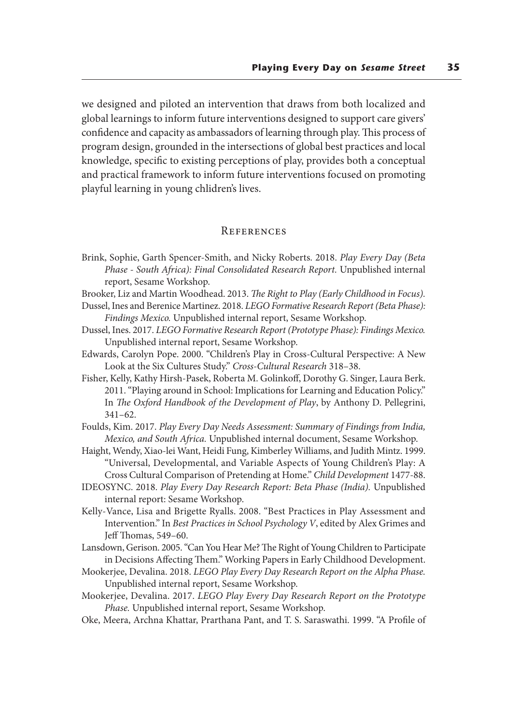we designed and piloted an intervention that draws from both localized and global learnings to inform future interventions designed to support care givers' confidence and capacity as ambassadors of learning through play. This process of program design, grounded in the intersections of global best practices and local knowledge, specific to existing perceptions of play, provides both a conceptual and practical framework to inform future interventions focused on promoting playful learning in young chlidren's lives.

#### **REFERENCES**

- Brink, Sophie, Garth Spencer-Smith, and Nicky Roberts. 2018. *Play Every Day (Beta Phase - South Africa): Final Consolidated Research Report.* Unpublished internal report, Sesame Workshop.
- Brooker, Liz and Martin Woodhead. 2013. *The Right to Play (Early Childhood in Focus).* Dussel, Ines and Berenice Martinez. 2018. *LEGO Formative Research Report (Beta Phase):*

*Findings Mexico.* Unpublished internal report, Sesame Workshop.

- Dussel, Ines. 2017. *LEGO Formative Research Report (Prototype Phase): Findings Mexico.* Unpublished internal report, Sesame Workshop.
- Edwards, Carolyn Pope. 2000. "Children's Play in Cross-Cultural Perspective: A New Look at the Six Cultures Study." *Cross-Cultural Research* 318–38.
- Fisher, Kelly, Kathy Hirsh-Pasek, Roberta M. Golinkoff, Dorothy G. Singer, Laura Berk. 2011. "Playing around in School: Implications for Learning and Education Policy." In *The Oxford Handbook of the Development of Play*, by Anthony D. Pellegrini, 341–62.
- Foulds, Kim. 2017. *Play Every Day Needs Assessment: Summary of Findings from India, Mexico, and South Africa.* Unpublished internal document, Sesame Workshop.
- Haight, Wendy, Xiao-lei Want, Heidi Fung, Kimberley Williams, and Judith Mintz. 1999. "Universal, Developmental, and Variable Aspects of Young Children's Play: A Cross Cultural Comparison of Pretending at Home." *Child Development* 1477-88.
- IDEOSYNC. 2018. *Play Every Day Research Report: Beta Phase (India).* Unpublished internal report: Sesame Workshop.
- Kelly-Vance, Lisa and Brigette Ryalls. 2008. "Best Practices in Play Assessment and Intervention." In *Best Practices in School Psychology V*, edited by Alex Grimes and Jeff Thomas, 549–60.
- Lansdown, Gerison. 2005. "Can You Hear Me? The Right of Young Children to Participate in Decisions Affecting Them." Working Papers in Early Childhood Development.
- Mookerjee, Devalina. 2018. *LEGO Play Every Day Research Report on the Alpha Phase.* Unpublished internal report, Sesame Workshop.
- Mookerjee, Devalina. 2017. *LEGO Play Every Day Research Report on the Prototype Phase.* Unpublished internal report, Sesame Workshop.
- Oke, Meera, Archna Khattar, Prarthana Pant, and T. S. Saraswathi. 1999. "A Profile of